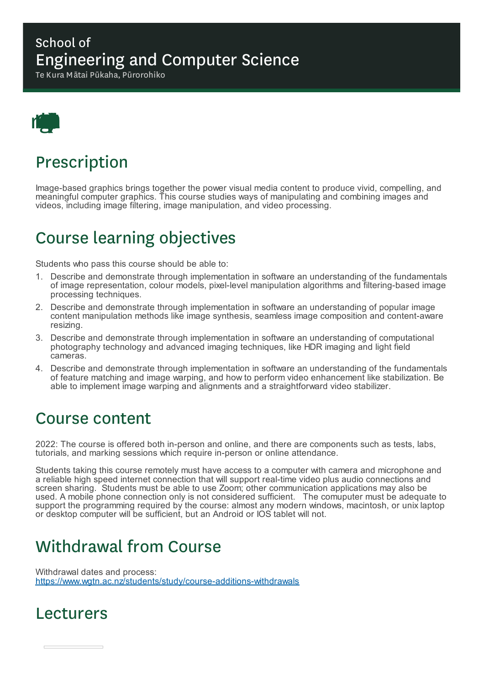### School of Engineering and Computer Science

Te Kura Mātai Pūkaha, Pūrorohiko



## Prescription

Image-based graphics brings together the power visual media content to produce vivid, compelling, and meaningful computer graphics. This course studies ways of manipulating and combining images and videos, including image filtering, image manipulation, and video processing.

# Course learning objectives

Students who pass this course should be able to:

- 1. Describe and demonstrate through implementation in software an understanding of the fundamentals of image representation, colour models, pixel-level manipulation algorithms and filtering-based image processing techniques.
- 2. Describe and demonstrate through implementation in software an understanding of popular image content manipulation methods like image synthesis, seamless image composition and content-aware resizing.
- 3. Describe and demonstrate through implementation in software an understanding of computational photography technology and advanced imaging techniques, like HDR imaging and light field cameras.
- 4. Describe and demonstrate through implementation in software an understanding of the fundamentals of feature matching and image warping, and how to perform video enhancement like stabilization. Be able to implement image warping and alignments and a straightforward video stabilizer.

### Course content

2022: The course is offered both in-person and online, and there are components such as tests, labs, tutorials, and marking sessions which require in-person or online attendance.

Students taking this course remotely must have access to a computer with camera and microphone and a reliable high speed internet connection that will support real-time video plus audio connections and screen sharing. Students must be able to use Zoom; other communication applications may also be used. A mobile phone connection only is not considered sufficient. The comuputer must be adequate to support the programming required by the course: almost any modern windows, macintosh, or unix laptop or desktop computer will be sufficient, but an Android or IOS tablet will not.

# Withdrawal from Course

Withdrawal dates and process: https://www.wgtn.ac.nz/students/study/course-additions-withdrawals

### Lecturers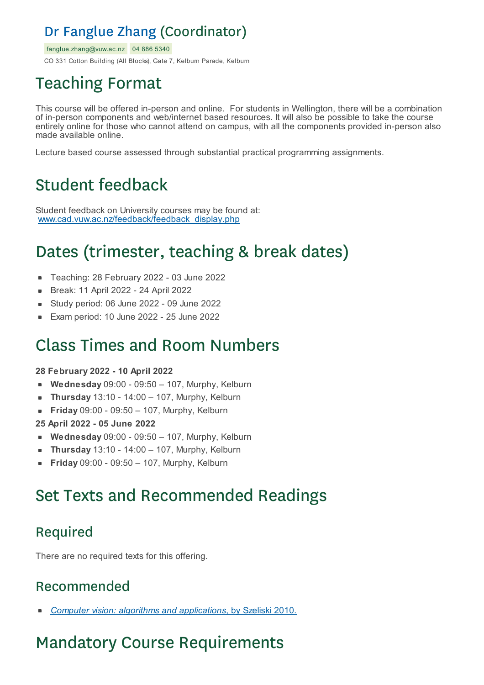### Dr Fanglue Zhang (Coordinator)

fanglue.zhang@vuw.ac.nz 04 886 5340

CO 331 Cotton Building (All Blocks), Gate 7, Kelburn Parade, Kelburn

# Teaching Format

This course will be offered in-person and online. For students in Wellington, there will be a combination of in-person components and web/internet based resources. It will also be possible to take the course entirely online for those who cannot attend on campus, with all the components provided in-person also made available online.

Lecture based course assessed through substantial practical programming assignments.

## Student feedback

Student feedback on University courses may be found at: www.cad.vuw.ac.nz/feedback/feedback\_display.php

# Dates (trimester, teaching & break dates)

- Teaching: 28 February 2022 03 June 2022
- Break: 11 April 2022 24 April 2022  $\blacksquare$
- Study period: 06 June 2022 09 June 2022
- Exam period: 10 June 2022 25 June 2022

### Class Times and Room Numbers

#### **28 February 2022 - 10 April 2022**

- **Wednesday** 09:00 09:50 107, Murphy, Kelburn
- **Thursday** 13:10 14:00 107, Murphy, Kelburn
- **Friday** 09:00 09:50 107, Murphy, Kelburn
- **25 April 2022 - 05 June 2022**
- **Wednesday** 09:00 09:50 107, Murphy, Kelburn
- **Thursday** 13:10 14:00 107, Murphy, Kelburn
- **Friday** 09:00 09:50 107, Murphy, Kelburn

### Set Texts and Recommended Readings

### Required

There are no required texts for this offering.

### Recommended

*Computer vision: algorithms and applications*, by Szeliski 2010.

# Mandatory Course Requirements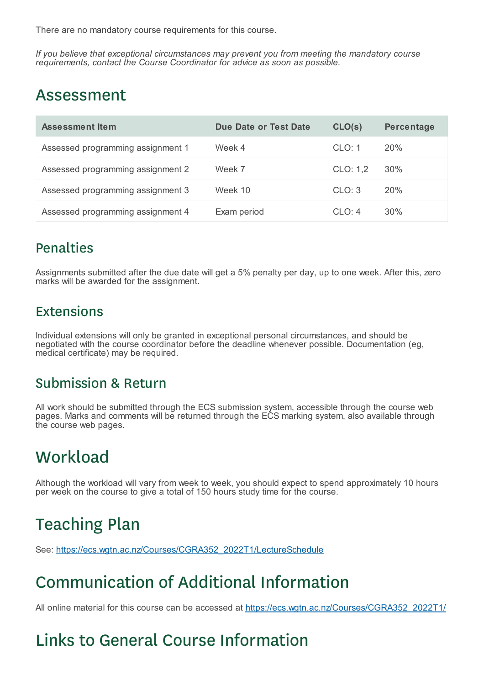There are no mandatory course requirements for this course.

*If you believe that exceptional circumstances may prevent you from meeting the mandatory course requirements, contact the Course Coordinator for advice as soon as possible.*

### Assessment

| Assessment Item                   | Due Date or Test Date | CLO(s)   | <b>Percentage</b> |
|-----------------------------------|-----------------------|----------|-------------------|
| Assessed programming assignment 1 | Week 4                | CLO: 1   | 20%               |
| Assessed programming assignment 2 | Week 7                | CLO: 1,2 | 30%               |
| Assessed programming assignment 3 | Week 10               | CLO: 3   | 20%               |
| Assessed programming assignment 4 | Exam period           | CLO: 4   | 30%               |

#### Penalties

Assignments submitted after the due date will get a 5% penalty per day, up to one week. After this, zero marks will be awarded for the assignment.

#### Extensions

Individual extensions will only be granted in exceptional personal circumstances, and should be negotiated with the course coordinator before the deadline whenever possible. Documentation (eg, medical certificate) may be required.

#### Submission & Return

All work should be submitted through the ECS submission system, accessible through the course web pages. Marks and comments will be returned through the ECS marking system, also available through the course web pages.

### **Workload**

Although the workload will vary from week to week, you should expect to spend approximately 10 hours per week on the course to give a total of 150 hours study time for the course.

# Teaching Plan

See: https://ecs.wgtn.ac.nz/Courses/CGRA352\_2022T1/LectureSchedule

# Communication of Additional Information

All online material for this course can be accessed at https://ecs.wgtn.ac.nz/Courses/CGRA352\_2022T1/

# Links to General Course Information